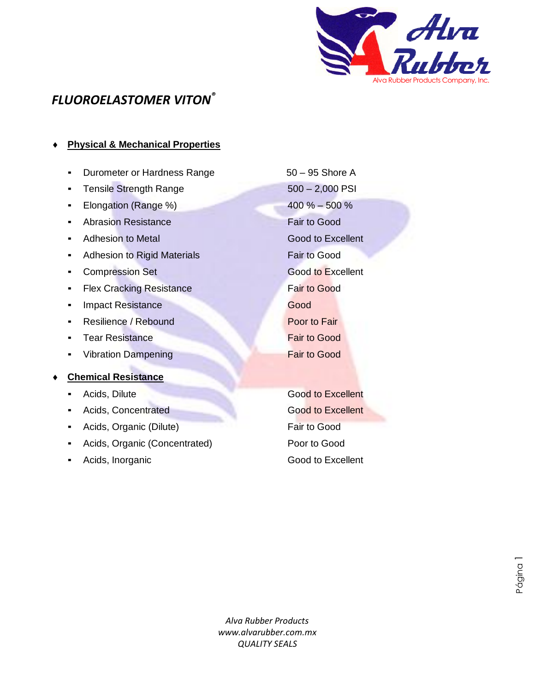

## *FLUOROELASTOMER VITON®*

### **Physical & Mechanical Properties**

- Durometer or Hardness Range 50 95 Shore A
- Tensile Strength Range 500 2,000 PSI
- Elongation (Range %) 400 % 500 %
- Abrasion Resistance Fair to Good
- Adhesion to Metal Good to Excellent
- **Adhesion to Rigid Materials Fair to Good**
- **Compression Set Good to Excellent**
- **EXA** Flex Cracking Resistance **Fair to Good**
- **Example 2** Impact Resistance Good
- **Resilience / Rebound Poor to Fair**
- **Example 2** Tear Resistance **Fair to Good**
- Vibration Dampening Fair to Good

#### **Chemical Resistance**

- 
- **Example 4 Acids, Concentrated Cood to Excellent**
- **Acids, Organic (Dilute)** Fair to Good
- Acids, Organic (Concentrated) Poor to Good
- 

**Excellent** Acids, Dilute Good to Excellent Acids, Inorganic **Acids**, Inorganic **Acids**, Inorganic

Página 1

*Alva Rubber Products www.alvarubber.com.mx QUALITY SEALS* bbe<br>Y S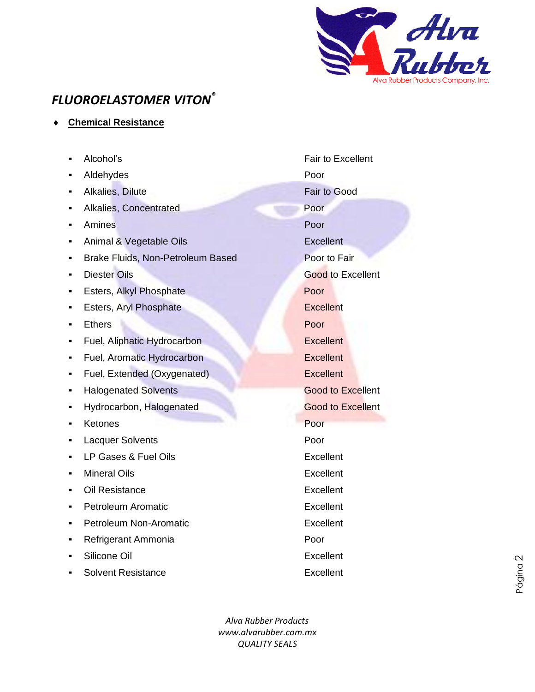

# *FLUOROELASTOMER VITON®*

**Chemical Resistance**

|   | Alcohol's                         | <b>Fair to Excellent</b> |
|---|-----------------------------------|--------------------------|
|   | Aldehydes                         | Poor                     |
| ٠ | Alkalies, Dilute                  | <b>Fair to Good</b>      |
| п | Alkalies, Concentrated            | Poor                     |
| ٠ | Amines                            | Poor                     |
| ٠ | Animal & Vegetable Oils           | <b>Excellent</b>         |
| ٠ | Brake Fluids, Non-Petroleum Based | Poor to Fair             |
| ٠ | <b>Diester Oils</b>               | Good to Excellent        |
| п | Esters, Alkyl Phosphate           | Poor                     |
| ٠ | Esters, Aryl Phosphate            | <b>Excellent</b>         |
| п | <b>Ethers</b>                     | Poor                     |
| ٠ | Fuel, Aliphatic Hydrocarbon       | <b>Excellent</b>         |
|   | Fuel, Aromatic Hydrocarbon        | <b>Excellent</b>         |
|   | Fuel, Extended (Oxygenated)       | <b>Excellent</b>         |
| п | <b>Halogenated Solvents</b>       | <b>Good to Excellent</b> |
|   | Hydrocarbon, Halogenated          | <b>Good to Excellent</b> |
|   | Ketones                           | Poor                     |
| п | <b>Lacquer Solvents</b>           | Poor                     |
| п | LP Gases & Fuel Oils              | Excellent                |
| ٠ | <b>Mineral Oils</b>               | Excellent                |
| ٠ | Oil Resistance                    | Excellent                |
| ٠ | <b>Petroleum Aromatic</b>         | Excellent                |
| п | <b>Petroleum Non-Aromatic</b>     | Excellent                |
|   | Refrigerant Ammonia               | Poor                     |
|   | Silicone Oil                      | Excellent                |
|   | <b>Solvent Resistance</b>         | <b>Excellent</b>         |

*Alva Rubber Products www.alvarubber.com.mx QUALITY SEALS*